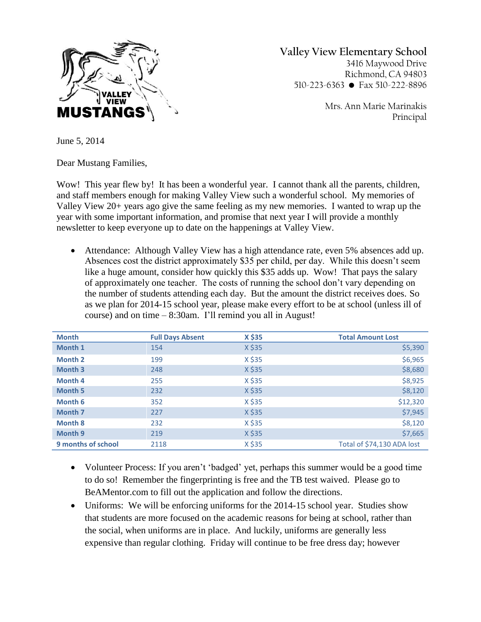

**Valley View Elementary School** 3416 Maywood Drive Richmond, CA 94803 510-223-6363 • Fax 510-222-8896

> Mrs. Ann Marie Marinakis Principal

June 5, 2014

Dear Mustang Families,

Wow! This year flew by! It has been a wonderful year. I cannot thank all the parents, children, and staff members enough for making Valley View such a wonderful school. My memories of Valley View 20+ years ago give the same feeling as my new memories. I wanted to wrap up the year with some important information, and promise that next year I will provide a monthly newsletter to keep everyone up to date on the happenings at Valley View.

 Attendance: Although Valley View has a high attendance rate, even 5% absences add up. Absences cost the district approximately \$35 per child, per day. While this doesn't seem like a huge amount, consider how quickly this \$35 adds up. Wow! That pays the salary of approximately one teacher. The costs of running the school don't vary depending on the number of students attending each day. But the amount the district receives does. So as we plan for 2014-15 school year, please make every effort to be at school (unless ill of course) and on time – 8:30am. I'll remind you all in August!

| <b>Month</b>       | <b>Full Days Absent</b> | X \$35 | <b>Total Amount Lost</b>   |
|--------------------|-------------------------|--------|----------------------------|
| Month 1            | 154                     | X \$35 | \$5,390                    |
| <b>Month 2</b>     | 199                     | X \$35 | \$6,965                    |
| Month <sub>3</sub> | 248                     | X \$35 | \$8,680                    |
| <b>Month 4</b>     | 255                     | X \$35 | \$8,925                    |
| <b>Month 5</b>     | 232                     | X \$35 | \$8,120                    |
| Month 6            | 352                     | X \$35 | \$12,320                   |
| Month 7            | 227                     | X \$35 | \$7,945                    |
| <b>Month 8</b>     | 232                     | X \$35 | \$8,120                    |
| Month 9            | 219                     | X \$35 | \$7,665                    |
| 9 months of school | 2118                    | X \$35 | Total of \$74,130 ADA lost |

- Volunteer Process: If you aren't 'badged' yet, perhaps this summer would be a good time to do so! Remember the fingerprinting is free and the TB test waived. Please go to BeAMentor.com to fill out the application and follow the directions.
- Uniforms: We will be enforcing uniforms for the 2014-15 school year. Studies show that students are more focused on the academic reasons for being at school, rather than the social, when uniforms are in place. And luckily, uniforms are generally less expensive than regular clothing. Friday will continue to be free dress day; however